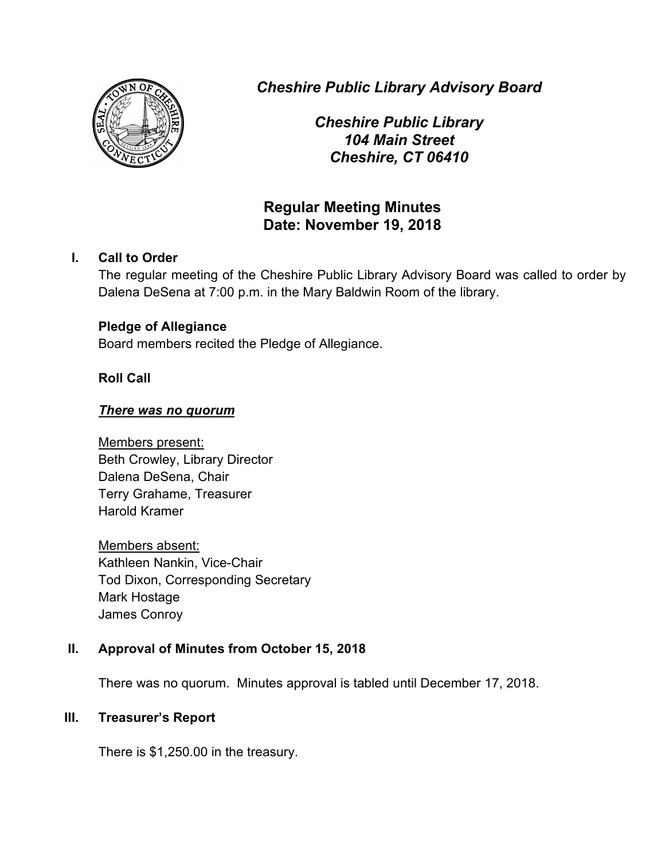

*Cheshire Public Library Advisory Board*

*Cheshire Public Library 104 Main Street Cheshire, CT 06410*

# **Regular Meeting Minutes Date: November 19, 2018**

## **I. Call to Order**

The regular meeting of the Cheshire Public Library Advisory Board was called to order by Dalena DeSena at 7:00 p.m. in the Mary Baldwin Room of the library.

## **Pledge of Allegiance**

Board members recited the Pledge of Allegiance.

## **Roll Call**

## *There was no quorum*

Members present: Beth Crowley, Library Director Dalena DeSena, Chair Terry Grahame, Treasurer Harold Kramer

Members absent: Kathleen Nankin, Vice-Chair Tod Dixon, Corresponding Secretary Mark Hostage James Conroy

## **II. Approval of Minutes from October 15, 2018**

There was no quorum. Minutes approval is tabled until December 17, 2018.

## **III. Treasurer's Report**

There is \$1,250.00 in the treasury.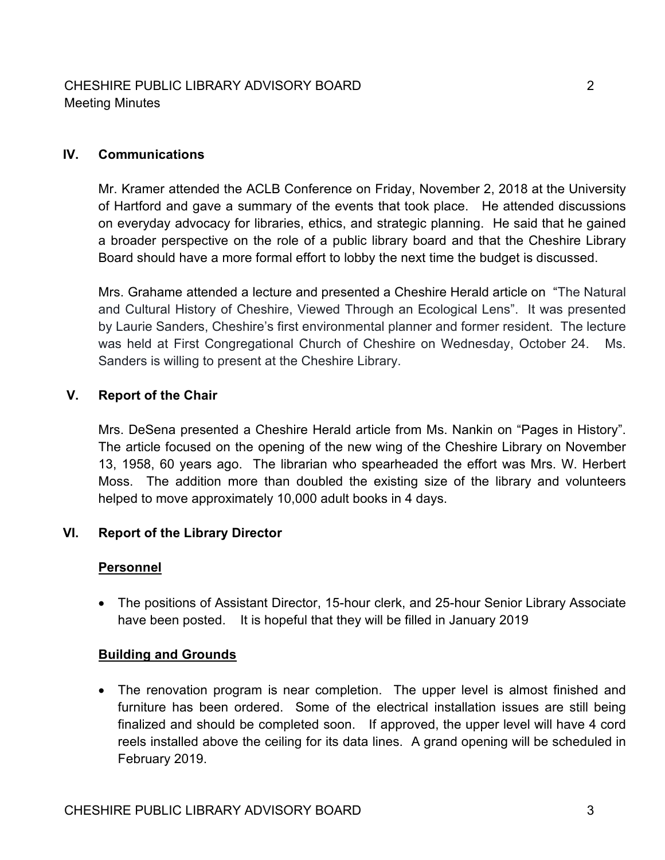#### **IV. Communications**

Mr. Kramer attended the ACLB Conference on Friday, November 2, 2018 at the University of Hartford and gave a summary of the events that took place. He attended discussions on everyday advocacy for libraries, ethics, and strategic planning. He said that he gained a broader perspective on the role of a public library board and that the Cheshire Library Board should have a more formal effort to lobby the next time the budget is discussed.

Mrs. Grahame attended a lecture and presented a Cheshire Herald article on "The Natural and Cultural History of Cheshire, Viewed Through an Ecological Lens". It was presented by Laurie Sanders, Cheshire's first environmental planner and former resident. The lecture was held at First Congregational Church of Cheshire on Wednesday, October 24. Ms. Sanders is willing to present at the Cheshire Library.

#### **V. Report of the Chair**

Mrs. DeSena presented a Cheshire Herald article from Ms. Nankin on "Pages in History". The article focused on the opening of the new wing of the Cheshire Library on November 13, 1958, 60 years ago. The librarian who spearheaded the effort was Mrs. W. Herbert Moss. The addition more than doubled the existing size of the library and volunteers helped to move approximately 10,000 adult books in 4 days.

## **VI. Report of the Library Director**

#### **Personnel**

• The positions of Assistant Director, 15-hour clerk, and 25-hour Senior Library Associate have been posted. It is hopeful that they will be filled in January 2019

#### **Building and Grounds**

• The renovation program is near completion. The upper level is almost finished and furniture has been ordered. Some of the electrical installation issues are still being finalized and should be completed soon. If approved, the upper level will have 4 cord reels installed above the ceiling for its data lines. A grand opening will be scheduled in February 2019.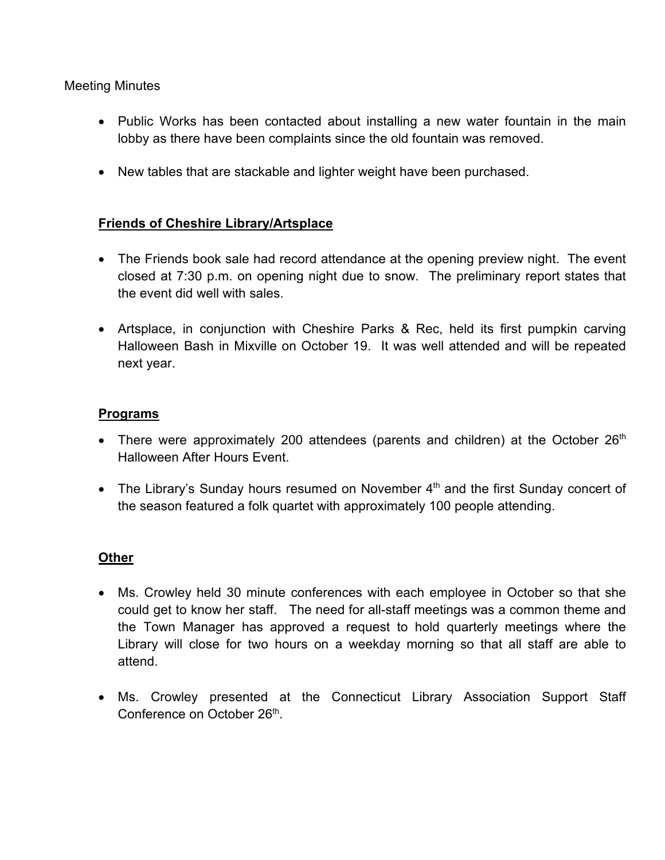#### Meeting Minutes

- Public Works has been contacted about installing a new water fountain in the main lobby as there have been complaints since the old fountain was removed.
- New tables that are stackable and lighter weight have been purchased.

## **Friends of Cheshire Library/Artsplace**

- The Friends book sale had record attendance at the opening preview night. The event closed at 7:30 p.m. on opening night due to snow. The preliminary report states that the event did well with sales.
- Artsplace, in conjunction with Cheshire Parks & Rec, held its first pumpkin carving Halloween Bash in Mixville on October 19. It was well attended and will be repeated next year.

#### **Programs**

- There were approximately 200 attendees (parents and children) at the October  $26<sup>th</sup>$ Halloween After Hours Event.
- The Library's Sunday hours resumed on November  $4<sup>th</sup>$  and the first Sunday concert of the season featured a folk quartet with approximately 100 people attending.

## **Other**

- Ms. Crowley held 30 minute conferences with each employee in October so that she could get to know her staff. The need for all-staff meetings was a common theme and the Town Manager has approved a request to hold quarterly meetings where the Library will close for two hours on a weekday morning so that all staff are able to attend.
- Ms. Crowley presented at the Connecticut Library Association Support Staff Conference on October 26<sup>th</sup>.